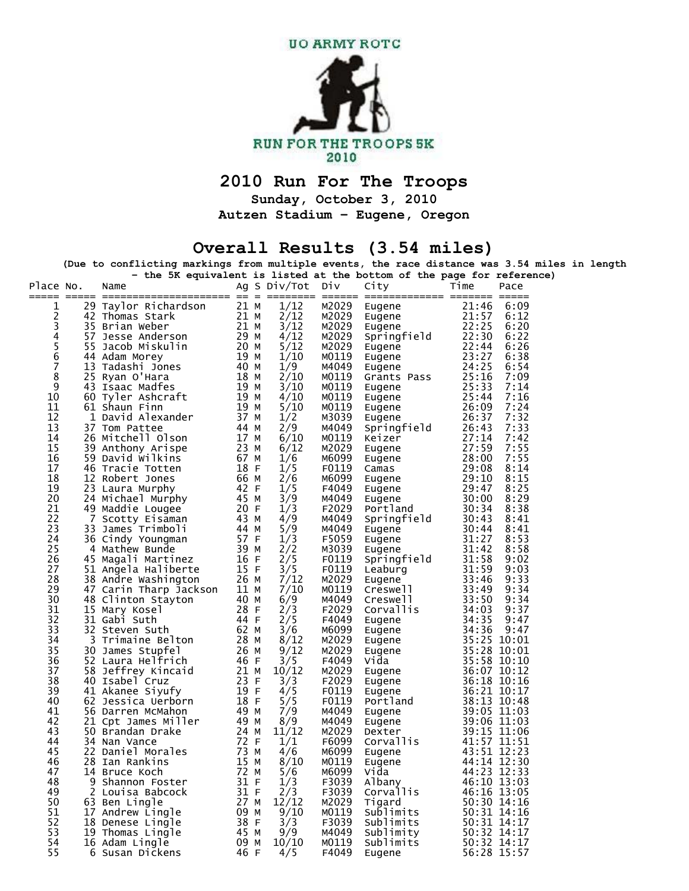

## **2010 Run For The Troops**

**Sunday, October 3, 2010** 

**Autzen Stadium – Eugene, Oregon** 

## **Overall Results (3.54 miles)**

**(Due to conflicting markings from multiple events, the race distance was 3.54 miles in length** 

|                                            |   |                                                                  |              |              |                |                    | - the 5K equivalent is listed at the bottom of the page for reference) |
|--------------------------------------------|---|------------------------------------------------------------------|--------------|--------------|----------------|--------------------|------------------------------------------------------------------------|
| Place No.                                  |   | Name                                                             |              | Ag S Div/Tot | DİV            | City               | Time<br>Pace                                                           |
| 1                                          |   | 29 Taylor Richardson                                             | 21 M         | 1/12         | M2029          | Eugene             | 21:46<br>6:09                                                          |
| 2                                          |   | 42 Thomas Stark                                                  | 21 M         | 2/12         | M2029          | Eugene             | 21:57<br>6:12                                                          |
| 3                                          |   | 35 Brian Weber                                                   | 21 M         | 3/12         | M2029          | Eugene             | 22:25<br>6:20                                                          |
|                                            |   | 57 Jesse Anderson                                                | 29 M         | 4/12         | M2029          | Springfield        | 22:30<br>6:22                                                          |
| $\begin{array}{c} 4 \\ 5 \\ 6 \end{array}$ |   | 55 Jacob Miskulin                                                | 20 M         | 5/12         | M2029          | Eugene             | 22:44<br>6:26                                                          |
|                                            |   | 44 Adam Morey                                                    | 19 M         | 1/10         | MO119          | Eugene             | 23:27<br>6:38                                                          |
| $\overline{7}$                             |   | 13 Tadashi Jones                                                 | 40 M         | 1/9          | M4049          | Eugene             | 24:25<br>6:54                                                          |
| 8                                          |   | 25 Ryan O'Hara                                                   | 18 M         | 2/10         | MO119          | Grants Pass        | 25:16<br>7:09                                                          |
| 9                                          |   | 43 Isaac Madfes                                                  | 19 M         | 3/10         | M0119          | Eugene             | 25:33<br>7:14                                                          |
| 10                                         |   | 60 Tyler Ashcraft                                                | 19 M         | 4/10         | MO119          | Eugene             | 25:44<br>7:16                                                          |
| 11                                         |   | 61 Shaun Finn                                                    | 19 M         | 5/10         | M0119          | Eugene             | 26:09<br>7:24                                                          |
| 12                                         |   | 1 David Alexander                                                | 37 M         | 1/2          | M3039          | Eugene             | 26:37<br>7:32                                                          |
| 13                                         |   | 37 Tom Pattee                                                    | 44 M         | 2/9          | M4049          | Springfield        | 26:43<br>7:33                                                          |
| 14                                         |   | 26 Mitchell Olson                                                | 17 M         | 6/10         | MO119          | Keizer             | 27:14<br>7:42                                                          |
| 15                                         |   | 39 Anthony Arispe                                                | 23 M         | 6/12         | M2029          | Eugene             | 27:59<br>7:55                                                          |
| 16                                         |   | 59 David Wilkins                                                 | 67 M         | 1/6          | M6099          | Eugene             | 28:00<br>7:55                                                          |
| 17                                         |   | 46 Tracie Totten                                                 | 18 F         | 1/5          | F0119          | Camas              | 29:08<br>8:14                                                          |
| 18<br>19                                   |   | 12 Robert Jones                                                  | 66 M<br>42 F | 2/6          | M6099<br>F4049 | Eugene             | 29:10<br>8:15<br>29:47<br>8:25                                         |
| 20                                         |   | 23 Laura Murphy<br>24 Michael Murphy                             | 45 M         | 1/5<br>3/9   | M4049          | Eugene             | 30:00<br>8:29                                                          |
| 21                                         |   | 49 Maddie Lougee                                                 | 20 F         | 1/3          | F2029          | Eugene<br>Portland | 30:34<br>8:38                                                          |
| 22                                         |   | 7 Scotty Eisaman                                                 | 43 M         | 4/9          | M4049          | Springfield        | 30:43<br>8:41                                                          |
| 23                                         |   | 33 James Trimboli                                                | 44 M         | 5/9          | M4049          | Eugene             | 30:44<br>8:41                                                          |
| 24                                         |   | 36 Cindy Youngman                                                | 57 F         | 1/3          | F5059          | Eugene             | 31:27<br>8:53                                                          |
| 25                                         |   | 4 Mathew Bunde                                                   | 39 M         | 2/2          | M3039          | Eugene             | 31:42<br>8:58                                                          |
| 26                                         |   | 45 Magali Martinez                                               | 16 F         | 2/5          | F0119          | Springfield        | 31:58<br>9:02                                                          |
| 27                                         |   | 51 Angela Haliberte                                              | 15 F         | 3/5          | F0119          | Leaburg            | 31:59<br>9:03                                                          |
| 28                                         |   | 38 Andre Washington                                              | 26 M         | 7/12         | M2029          | Eugene             | 33:46<br>9:33                                                          |
| 29                                         |   | 38 Andre Washington        26 M<br>47 Carin Tharp Jackson   11 M |              | 7/10         | MO119          | Creswell           | 33:49<br>9:34                                                          |
| 30                                         |   | 48 Clinton Stayton                                               | 40 M         | 6/9          | м4049          | Creswell           | 33:50<br>9:34                                                          |
| 31                                         |   | 15 Mary Kosel                                                    | 28 F         | 2/3          | F2029          | Corvallis          | 34:03<br>9:37                                                          |
| 32                                         |   | 31 Gabi Suth                                                     | 44 F         | 2/5          | F4049          | Eugene             | 34:35<br>9:47                                                          |
| 33                                         |   | 32 Steven Suth                                                   | 62 M         | 3/6          | M6099          | Eugene             | 34:36<br>9:47                                                          |
| 34                                         |   | 3 Trimaine Belton                                                | 28 M         | 8/12         | M2029          | Eugene             | 35:25 10:01                                                            |
| 35                                         |   | 30 James Stupfel                                                 | 26 M         | 9/12         | M2029          | Eugene             | 35:28 10:01                                                            |
| 36<br>37                                   |   | 52 Laura Helfrich                                                | 46 F<br>21 M | 3/5          | F4049<br>M2029 | Vida               | 35:58 10:10                                                            |
| 38                                         |   | 58 Jeffrey Kincaid<br>40 Isabel Cruz                             | 23 F         | 10/12<br>3/3 | F2029          | Eugene             | 36:07 10:12<br>36:18 10:16                                             |
| 39                                         |   | 41 Akanee Siyufy                                                 | 19 F         | 4/5          | F0119          | Eugene<br>Eugene   | 36:21 10:17                                                            |
| 40                                         |   | 62 Jessica Uerborn                                               | 18 F         | 5/5          | F0119          | Portland           | 38:13 10:48                                                            |
| 41                                         |   | 56 Darren McMahon                                                | 49 M         | 7/9          | M4049          | Eugene             | 39:05 11:03                                                            |
| 42                                         |   | 21 Cpt James Miller                                              | 49 M         | 8/9          | м4049          | Eugene             | 39:06 11:03                                                            |
| 43                                         |   | 50 Brandan Drake                                                 | 24 M         | 11/12        | M2029          | Dexter             | 39:15 11:06                                                            |
| 44                                         |   | 34 Nan Vance                                                     | 72 F         | 1/1          | F6099          | Corvallis          | 41:57 11:51                                                            |
| 45                                         |   | 22 Daniel Morales                                                | 73 M         | 4/6          | M6099          | Eugene             | 43:51 12:23                                                            |
| 46                                         |   | 28 Ian Rankins                                                   | 15 M         | 8/10         | M0119          | Eugene             | 44:14 12:30                                                            |
| 47                                         |   | <b>22 M</b><br>14 Bruce Koch                                     |              | 5/6          | M6099          | Vida               | 44:23 12:33                                                            |
| 48                                         | 9 | Shannon Foster                                                   | 31 F         | 1/3          | F3039          | Albany             | 46:10 13:03                                                            |
| 49                                         |   | 2 Louisa Babcock                                                 | 31 F         | 2/3          | F3039          | Corvallis          | 46:16 13:05                                                            |
| 50                                         |   | 63 Ben Lingle                                                    | 27 M         | 12/12        | M2029          | Tigard             | 50:30 14:16                                                            |
| 51                                         |   | 17 Andrew Lingle                                                 | 09 M         | 9/10         | M0119          | Sublimits          | 50:31 14:16                                                            |
| 52                                         |   | 18 Denese Lingle                                                 | 38 F         | 3/3          | F3039          | Sublimits          | 50:31 14:17                                                            |
| 53                                         |   | 19 Thomas Lingle                                                 | 45 M         | 9/9          | M4049<br>M0119 | Sublimity          | 50:32 14:17                                                            |
| 54                                         |   | 16 Adam Lingle                                                   | 09 M         | 10/10        |                | Sublimits          | 50:32 14:17                                                            |
| 55                                         |   | 6 Susan Dickens                                                  | 46 F         | 4/5          | F4049          | Eugene             | 56:28 15:57                                                            |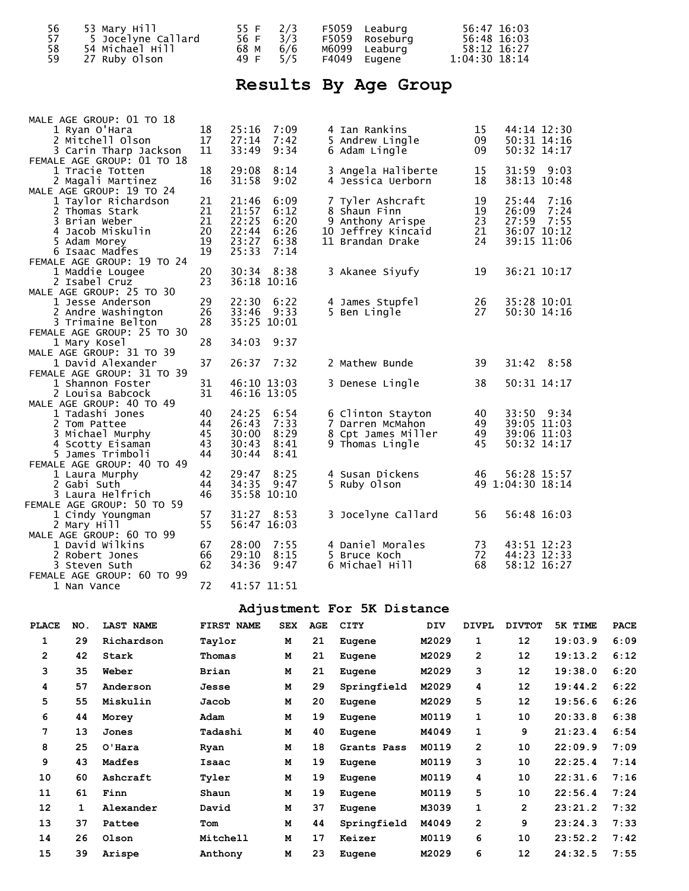| 56 | 53 Mary Hill       | 55 F 2/3 |     | F5059 Leaburg  | 56:47 16:03   |
|----|--------------------|----------|-----|----------------|---------------|
|    | 5 Jocelyne Callard | 56 F     | 3/3 | F5059 Roseburg | 56:48 16:03   |
| 58 | 54 Michael Hill    | 68 M 6/6 |     | M6099 Leaburg  | 58:12 16:27   |
|    | 27 Ruby Olson      | 49 F 5/5 |     | F4049 Eugene   | 1:04:30 18:14 |

# **Results By Age Group**

| MALE AGE GROUP: 01 TO 18<br>1 Ryan O'Hara     | 18 | 25:16       | 7:09        | 4 Ian Rankins      | 15 | 44:14 12:30      |
|-----------------------------------------------|----|-------------|-------------|--------------------|----|------------------|
| 2 Mitchell Olson                              | 17 | 27:14       | 7:42        | 5 Andrew Lingle    | 09 | 50:31 14:16      |
| 3 Carin Tharp Jackson                         | 11 | 33:49       | 9:34        | 6 Adam Lingle      | 09 | 50:32 14:17      |
| FEMALE AGE GROUP: 01 TO 18                    |    |             |             |                    |    |                  |
| 1 Tracie Totten                               | 18 | 29:08       | 8:14        | 3 Angela Haliberte | 15 | 31:59<br>9:03    |
| 2 Magali Martinez                             | 16 | 31:58       | 9:02        | 4 Jessica Uerborn  | 18 | 38:13 10:48      |
| MALE AGE GROUP: 19 TO 24                      |    |             |             |                    |    |                  |
| 1 Taylor Richardson                           | 21 | 21:46       | 6:09        | 7 Tyler Ashcraft   | 19 | 25:44<br>7:16    |
| 2 Thomas Stark                                | 21 | 21:57       | 6:12        | 8 Shaun Finn       | 19 | 7:24<br>26:09    |
| 3 Brian Weber                                 | 21 | 22:25       | 6:20        | 9 Anthony Arispe   | 23 | 27:59<br>7:55    |
| 4 Jacob Miskulin                              | 20 | 22:44       | 6:26        | 10 Jeffrey Kincaid | 21 | 36:07 10:12      |
| 5 Adam Morey                                  | 19 | 23:27       | 6:38        | 11 Brandan Drake   | 24 | 39:15 11:06      |
| 6 Isaac Madfes                                | 19 | 25:33       | 7:14        |                    |    |                  |
| FEMALE AGE GROUP: 19 TO 24                    |    |             |             |                    |    |                  |
| 1 Maddie Lougee                               | 20 | 30:34       | 8:38        | 3 Akanee Siyufy    | 19 | 36:21 10:17      |
| 2 Isabel Cruz                                 | 23 | 36:18 10:16 |             |                    |    |                  |
| MALE AGE GROUP: 25 TO 30                      |    |             |             |                    |    |                  |
| 1 Jesse Anderson                              | 29 | 22:30       | 6:22        | 4 James Stupfel    | 26 | 35:28 10:01      |
| 2 Andre Washington                            | 26 | 33:46       | 9:33        | 5 Ben Lingle       | 27 | 50:30 14:16      |
| 3 Trimaine Belton                             | 28 | 35:25 10:01 |             |                    |    |                  |
| FEMALE AGE GROUP: 25 TO 30                    |    |             |             |                    |    |                  |
| 1 Mary Kosel                                  | 28 | 34:03       | 9:37        |                    |    |                  |
| MALE AGE GROUP: 31 TO 39<br>1 David Alexander | 37 | 26:37       | 7:32        | 2 Mathew Bunde     | 39 | 31:42<br>8:58    |
| FEMALE AGE GROUP: 31 TO 39                    |    |             |             |                    |    |                  |
| 1 Shannon Foster                              | 31 | 46:10 13:03 |             | 3 Denese Lingle    | 38 | 50:31 14:17      |
| 2 Louisa Babcock                              | 31 | 46:16 13:05 |             |                    |    |                  |
| MALE AGE GROUP: 40 TO 49                      |    |             |             |                    |    |                  |
| 1 Tadashi Jones                               | 40 | 24:25       | 6:54        | 6 Clinton Stayton  | 40 | 33:50 9:34       |
| 2 Tom Pattee                                  | 44 | 26:43       | 7:33        | 7 Darren McMahon   | 49 | 39:05 11:03      |
| 3 Michael Murphy                              | 45 | 30:00       | 8:29        | 8 Cpt James Miller | 49 | 39:06 11:03      |
| 4 Scotty Eisaman                              | 43 | 30:43       | 8:41        | 9 Thomas Lingle    | 45 | 50:32 14:17      |
| 5 James Trimboli                              | 44 | 30:44       | 8:41        |                    |    |                  |
| FEMALE AGE GROUP: 40 TO 49                    |    |             |             |                    |    |                  |
| 1 Laura Murphy                                | 42 | 29:47       | 8:25        | 4 Susan Dickens    | 46 | 56:28 15:57      |
| 2 Gabi Suth                                   | 44 | 34:35       | 9:47        | 5 Ruby Olson       |    | 49 1:04:30 18:14 |
| 3 Laura Helfrich                              | 46 |             | 35:58 10:10 |                    |    |                  |
| FEMALE AGE GROUP: 50 TO 59                    |    |             |             |                    |    |                  |
| 1 Cindy Youngman                              | 57 | 31:27       | 8:53        | 3 Jocelyne Callard | 56 | 56:48 16:03      |
| 2 Mary Hill                                   | 55 | 56:47 16:03 |             |                    |    |                  |
| MALE AGE GROUP: 60 TO 99                      |    |             |             |                    |    |                  |
| 1 David Wilkins                               | 67 | 28:00       | 7:55        | 4 Daniel Morales   | 73 | 43:51 12:23      |
| 2 Robert Jones                                | 66 | 29:10       | 8:15        | 5 Bruce Koch       | 72 | 44:23 12:33      |
| 3 Steven Suth                                 | 62 | 34:36       | 9:47        | 6 Michael Hill     | 68 | 58:12 16:27      |
| FEMALE AGE GROUP: 60 TO 99                    |    |             |             |                    |    |                  |
| 1 Nan Vance                                   | 72 | 41:57 11:51 |             |                    |    |                  |

#### $1.57$  11:51

## **Adjustment For 5K Distance**

| <b>PLACE</b>   | NO. | <b>LAST NAME</b> | FIRST NAME   | <b>SEX</b> | AGE | <b>CITY</b> | <b>DIV</b> | <b>DIVPL</b>   | <b>DIVTOT</b>  | 5K TIME | <b>PACE</b> |
|----------------|-----|------------------|--------------|------------|-----|-------------|------------|----------------|----------------|---------|-------------|
| 1              | 29  | Richardson       | Taylor       | М          | 21  | Eugene      | M2029      | 1              | 12             | 19:03.9 | 6:09        |
| $\overline{2}$ | 42  | Stark            | Thomas       | M          | 21  | Eugene      | M2029      | $\overline{2}$ | 12             | 19:13.2 | 6:12        |
| 3              | 35  | Weber            | <b>Brian</b> | M          | 21  | Eugene      | M2029      | 3              | 12             | 19:38.0 | 6:20        |
| 4              | 57  | Anderson         | Jesse        | M          | 29  | Springfield | M2029      | 4              | 12             | 19:44.2 | 6:22        |
| 5              | 55  | Miskulin         | Jacob        | M          | 20  | Eugene      | M2029      | 5              | 12             | 19:56.6 | 6:26        |
| 6              | 44  | Morey            | Adam         | M          | 19  | Eugene      | M0119      | 1              | 10             | 20:33.8 | 6:38        |
| 7              | 13  | Jones            | Tadashi      | M          | 40  | Eugene      | M4049      | 1              | 9              | 21:23.4 | 6:54        |
| 8              | 25  | $O'$ Hara        | Ryan         | M          | 18  | Grants Pass | M0119      | $\overline{2}$ | 10             | 22:09.9 | 7:09        |
| 9              | 43  | Madfes           | Isaac        | M          | 19  | Eugene      | M0119      | 3              | 10             | 22:25.4 | 7:14        |
| 10             | 60  | Ashcraft         | Tyler        | M          | 19  | Eugene      | M0119      | 4              | 10             | 22:31.6 | 7:16        |
| 11             | 61  | Finn             | Shaun        | M          | 19  | Eugene      | M0119      | 5              | 10             | 22:56.4 | 7:24        |
| 12             | 1   | Alexander        | David        | M          | 37  | Eugene      | M3039      | 1              | $\overline{2}$ | 23:21.2 | 7:32        |
| 13             | 37  | Pattee           | Tom          | М          | 44  | Springfield | M4049      | $\overline{2}$ | 9              | 23:24.3 | 7:33        |
| 14             | 26  | Olson            | Mitchell     | м          | 17  | Keizer      | M0119      | 6              | 10             | 23:52.2 | 7:42        |
| 15             | 39  | Arispe           | Anthony      | M          | 23  | Eugene      | M2029      | 6              | 12             | 24:32.5 | 7:55        |